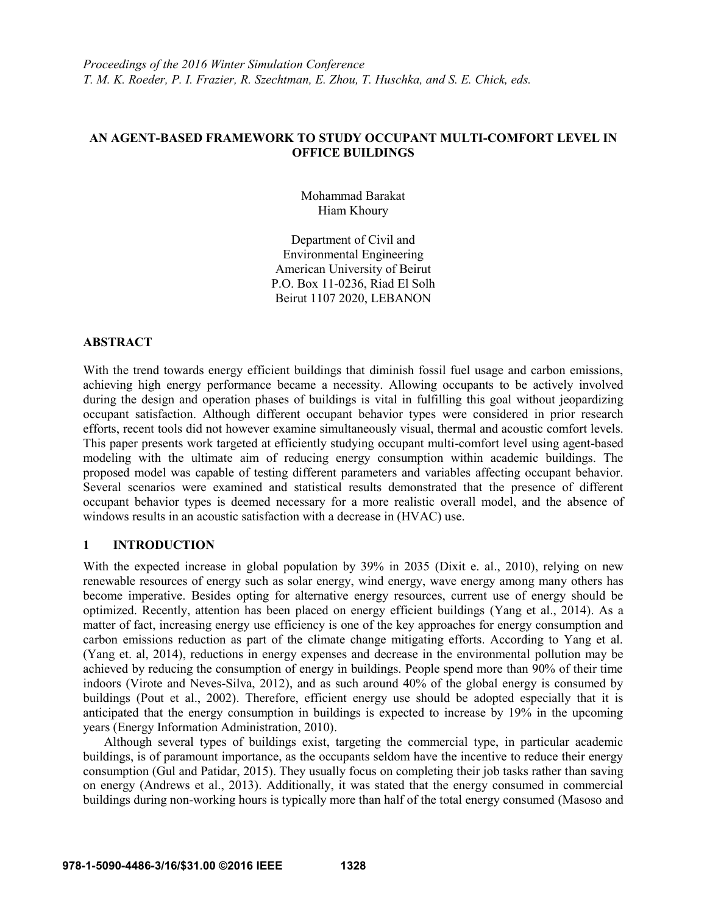# **AN AGENT-BASED FRAMEWORK TO STUDY OCCUPANT MULTI-COMFORT LEVEL IN OFFICE BUILDINGS**

Mohammad Barakat Hiam Khoury

Department of Civil and Environmental Engineering American University of Beirut P.O. Box 11-0236, Riad El Solh Beirut 1107 2020, LEBANON

## **ABSTRACT**

With the trend towards energy efficient buildings that diminish fossil fuel usage and carbon emissions, achieving high energy performance became a necessity. Allowing occupants to be actively involved during the design and operation phases of buildings is vital in fulfilling this goal without jeopardizing occupant satisfaction. Although different occupant behavior types were considered in prior research efforts, recent tools did not however examine simultaneously visual, thermal and acoustic comfort levels. This paper presents work targeted at efficiently studying occupant multi-comfort level using agent-based modeling with the ultimate aim of reducing energy consumption within academic buildings. The proposed model was capable of testing different parameters and variables affecting occupant behavior. Several scenarios were examined and statistical results demonstrated that the presence of different occupant behavior types is deemed necessary for a more realistic overall model, and the absence of windows results in an acoustic satisfaction with a decrease in (HVAC) use.

## **1 INTRODUCTION**

With the expected increase in global population by 39% in 2035 (Dixit e. al., 2010), relying on new renewable resources of energy such as solar energy, wind energy, wave energy among many others has become imperative. Besides opting for alternative energy resources, current use of energy should be optimized. Recently, attention has been placed on energy efficient buildings (Yang et al., 2014). As a matter of fact, increasing energy use efficiency is one of the key approaches for energy consumption and carbon emissions reduction as part of the climate change mitigating efforts. According to Yang et al. (Yang et. al, 2014), reductions in energy expenses and decrease in the environmental pollution may be achieved by reducing the consumption of energy in buildings. People spend more than 90% of their time indoors (Virote and Neves-Silva, 2012), and as such around 40% of the global energy is consumed by buildings (Pout et al., 2002). Therefore, efficient energy use should be adopted especially that it is anticipated that the energy consumption in buildings is expected to increase by 19% in the upcoming years (Energy Information Administration, 2010).

Although several types of buildings exist, targeting the commercial type, in particular academic buildings, is of paramount importance, as the occupants seldom have the incentive to reduce their energy consumption (Gul and Patidar, 2015). They usually focus on completing their job tasks rather than saving on energy (Andrews et al., 2013). Additionally, it was stated that the energy consumed in commercial buildings during non-working hours is typically more than half of the total energy consumed (Masoso and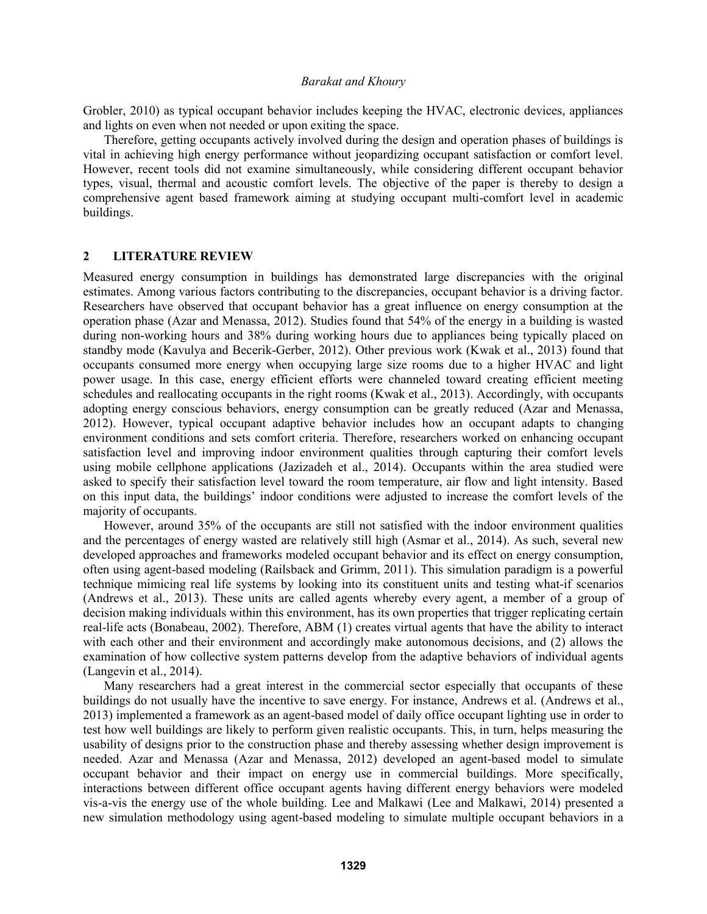Grobler, 2010) as typical occupant behavior includes keeping the HVAC, electronic devices, appliances and lights on even when not needed or upon exiting the space.

Therefore, getting occupants actively involved during the design and operation phases of buildings is vital in achieving high energy performance without jeopardizing occupant satisfaction or comfort level. However, recent tools did not examine simultaneously, while considering different occupant behavior types, visual, thermal and acoustic comfort levels. The objective of the paper is thereby to design a comprehensive agent based framework aiming at studying occupant multi-comfort level in academic buildings.

## **2 LITERATURE REVIEW**

Measured energy consumption in buildings has demonstrated large discrepancies with the original estimates. Among various factors contributing to the discrepancies, occupant behavior is a driving factor. Researchers have observed that occupant behavior has a great influence on energy consumption at the operation phase (Azar and Menassa, 2012). Studies found that 54% of the energy in a building is wasted during non-working hours and 38% during working hours due to appliances being typically placed on standby mode (Kavulya and Becerik-Gerber, 2012). Other previous work (Kwak et al., 2013) found that occupants consumed more energy when occupying large size rooms due to a higher HVAC and light power usage. In this case, energy efficient efforts were channeled toward creating efficient meeting schedules and reallocating occupants in the right rooms (Kwak et al., 2013). Accordingly, with occupants adopting energy conscious behaviors, energy consumption can be greatly reduced (Azar and Menassa, 2012). However, typical occupant adaptive behavior includes how an occupant adapts to changing environment conditions and sets comfort criteria. Therefore, researchers worked on enhancing occupant satisfaction level and improving indoor environment qualities through capturing their comfort levels using mobile cellphone applications (Jazizadeh et al., 2014). Occupants within the area studied were asked to specify their satisfaction level toward the room temperature, air flow and light intensity. Based on this input data, the buildings' indoor conditions were adjusted to increase the comfort levels of the majority of occupants.

However, around 35% of the occupants are still not satisfied with the indoor environment qualities and the percentages of energy wasted are relatively still high (Asmar et al., 2014). As such, several new developed approaches and frameworks modeled occupant behavior and its effect on energy consumption, often using agent-based modeling (Railsback and Grimm, 2011). This simulation paradigm is a powerful technique mimicing real life systems by looking into its constituent units and testing what-if scenarios (Andrews et al., 2013). These units are called agents whereby every agent, a member of a group of decision making individuals within this environment, has its own properties that trigger replicating certain real-life acts (Bonabeau, 2002). Therefore, ABM (1) creates virtual agents that have the ability to interact with each other and their environment and accordingly make autonomous decisions, and (2) allows the examination of how collective system patterns develop from the adaptive behaviors of individual agents (Langevin et al., 2014).

Many researchers had a great interest in the commercial sector especially that occupants of these buildings do not usually have the incentive to save energy. For instance, Andrews et al. (Andrews et al., 2013) implemented a framework as an agent-based model of daily office occupant lighting use in order to test how well buildings are likely to perform given realistic occupants. This, in turn, helps measuring the usability of designs prior to the construction phase and thereby assessing whether design improvement is needed. Azar and Menassa (Azar and Menassa, 2012) developed an agent-based model to simulate occupant behavior and their impact on energy use in commercial buildings. More specifically, interactions between different office occupant agents having different energy behaviors were modeled vis-a-vis the energy use of the whole building. Lee and Malkawi (Lee and Malkawi, 2014) presented a new simulation methodology using agent-based modeling to simulate multiple occupant behaviors in a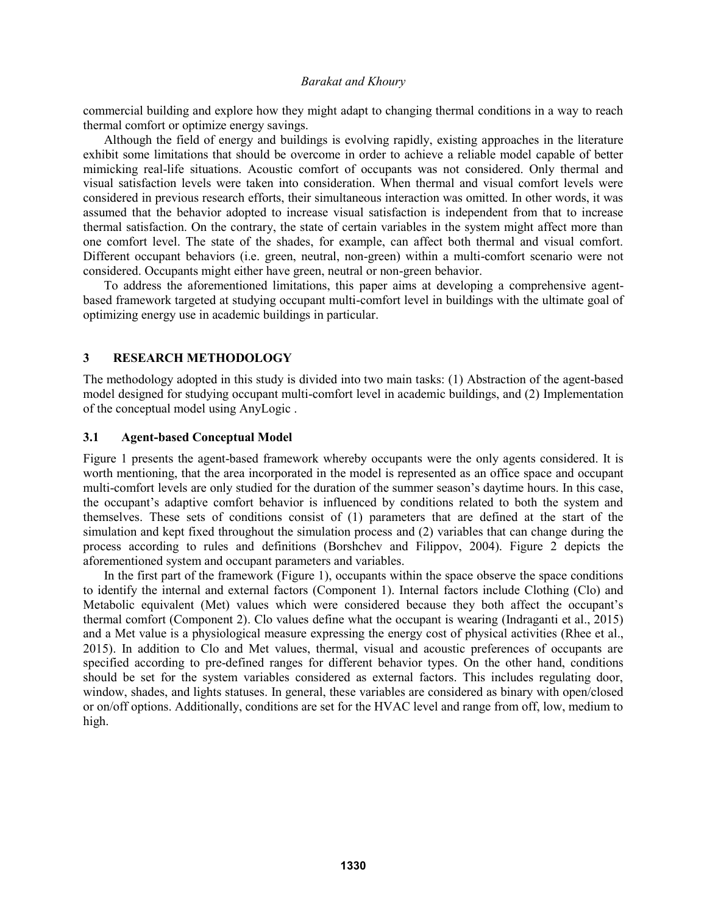commercial building and explore how they might adapt to changing thermal conditions in a way to reach thermal comfort or optimize energy savings.

Although the field of energy and buildings is evolving rapidly, existing approaches in the literature exhibit some limitations that should be overcome in order to achieve a reliable model capable of better mimicking real-life situations. Acoustic comfort of occupants was not considered. Only thermal and visual satisfaction levels were taken into consideration. When thermal and visual comfort levels were considered in previous research efforts, their simultaneous interaction was omitted. In other words, it was assumed that the behavior adopted to increase visual satisfaction is independent from that to increase thermal satisfaction. On the contrary, the state of certain variables in the system might affect more than one comfort level. The state of the shades, for example, can affect both thermal and visual comfort. Different occupant behaviors (i.e. green, neutral, non-green) within a multi-comfort scenario were not considered. Occupants might either have green, neutral or non-green behavior.

To address the aforementioned limitations, this paper aims at developing a comprehensive agentbased framework targeted at studying occupant multi-comfort level in buildings with the ultimate goal of optimizing energy use in academic buildings in particular.

## **3 RESEARCH METHODOLOGY**

The methodology adopted in this study is divided into two main tasks: (1) Abstraction of the agent-based model designed for studying occupant multi-comfort level in academic buildings, and (2) Implementation of the conceptual model using AnyLogic .

## **3.1 Agent-based Conceptual Model**

Figure 1 presents the agent-based framework whereby occupants were the only agents considered. It is worth mentioning, that the area incorporated in the model is represented as an office space and occupant multi-comfort levels are only studied for the duration of the summer season's daytime hours. In this case, the occupant's adaptive comfort behavior is influenced by conditions related to both the system and themselves. These sets of conditions consist of (1) parameters that are defined at the start of the simulation and kept fixed throughout the simulation process and (2) variables that can change during the process according to rules and definitions (Borshchev and Filippov, 2004). Figure 2 depicts the aforementioned system and occupant parameters and variables.

In the first part of the framework (Figure 1), occupants within the space observe the space conditions to identify the internal and external factors (Component 1). Internal factors include Clothing (Clo) and Metabolic equivalent (Met) values which were considered because they both affect the occupant's thermal comfort (Component 2). Clo values define what the occupant is wearing (Indraganti et al., 2015) and a Met value is a physiological measure expressing the energy cost of physical activities (Rhee et al., 2015). In addition to Clo and Met values, thermal, visual and acoustic preferences of occupants are specified according to pre-defined ranges for different behavior types. On the other hand, conditions should be set for the system variables considered as external factors. This includes regulating door, window, shades, and lights statuses. In general, these variables are considered as binary with open/closed or on/off options. Additionally, conditions are set for the HVAC level and range from off, low, medium to high.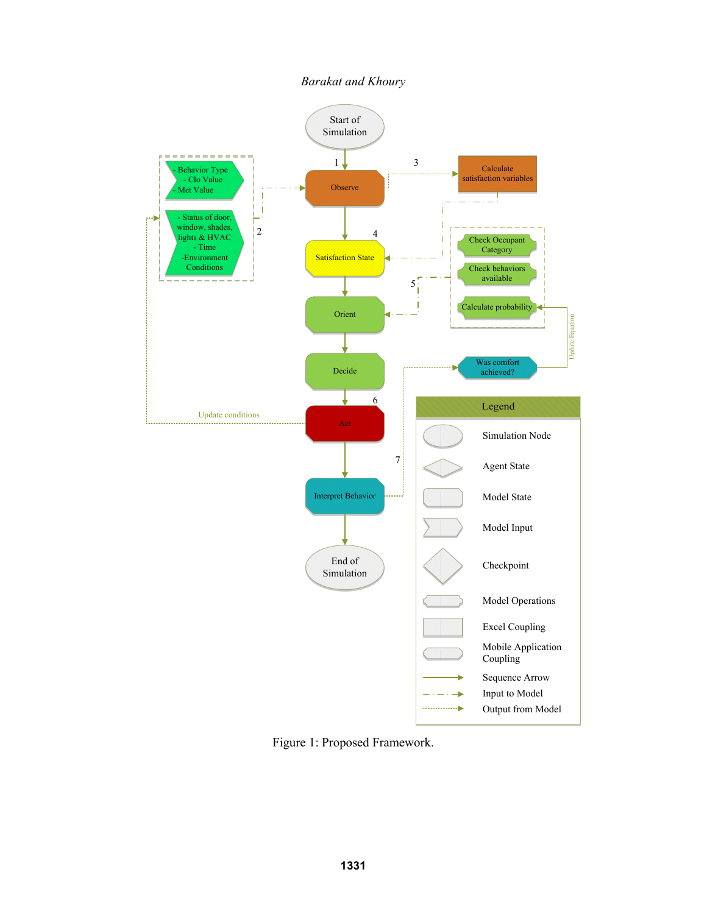

Figure 1: Proposed Framework.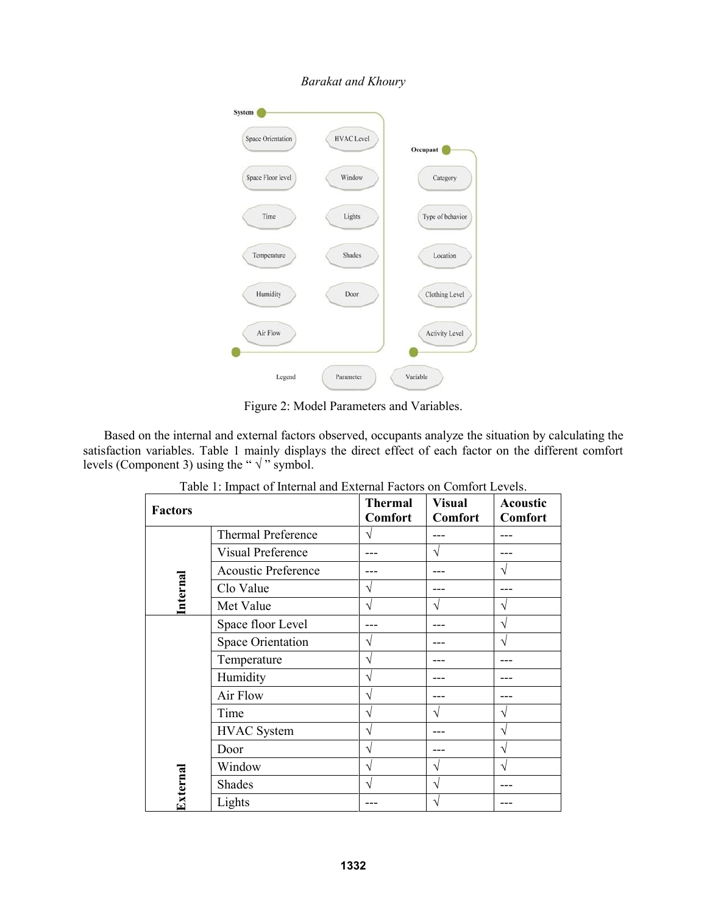

*Barakat and Khoury*

Figure 2: Model Parameters and Variables.

Based on the internal and external factors observed, occupants analyze the situation by calculating the satisfaction variables. Table 1 mainly displays the direct effect of each factor on the different comfort levels (Component 3) using the " $\sqrt{ }$ " symbol.

| <b>Factors</b> |                            | <b>Thermal</b><br><b>Comfort</b> | <b>Visual</b><br><b>Comfort</b> | <b>Acoustic</b><br><b>Comfort</b> |
|----------------|----------------------------|----------------------------------|---------------------------------|-----------------------------------|
|                | <b>Thermal Preference</b>  | ٦                                |                                 |                                   |
|                | <b>Visual Preference</b>   |                                  |                                 |                                   |
|                | <b>Acoustic Preference</b> |                                  |                                 | V                                 |
| Internal       | Clo Value                  | ٦                                |                                 |                                   |
|                | Met Value                  | ٦                                |                                 |                                   |
|                | Space floor Level          |                                  |                                 | V                                 |
|                | <b>Space Orientation</b>   | ٦                                |                                 |                                   |
|                | Temperature                | ٦                                |                                 |                                   |
|                | Humidity                   | J                                |                                 |                                   |
|                | Air Flow                   | ٦                                |                                 |                                   |
|                | Time                       | ٦                                |                                 |                                   |
|                | <b>HVAC</b> System         | V                                |                                 | $\sqrt{}$                         |
|                | Door                       | V                                |                                 | V                                 |
|                | Window                     | V                                |                                 |                                   |
| External       | <b>Shades</b>              | ٦                                | ٦                               |                                   |
|                | Lights                     |                                  |                                 |                                   |

Table 1: Impact of Internal and External Factors on Comfort Levels.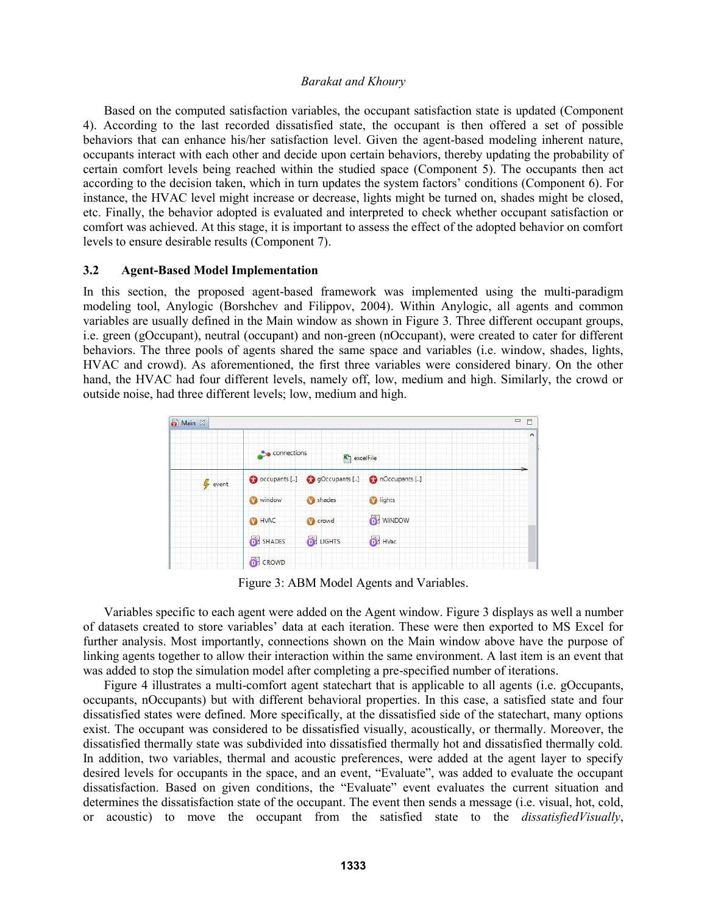Based on the computed satisfaction variables, the occupant satisfaction state is updated (Component 4). According to the last recorded dissatisfied state, the occupant is then offered a set of possible behaviors that can enhance his/her satisfaction level. Given the agent-based modeling inherent nature, occupants interact with each other and decide upon certain behaviors, thereby updating the probability of certain comfort levels being reached within the studied space (Component 5). The occupants then act according to the decision taken, which in turn updates the system factors' conditions (Component 6). For instance, the HVAC level might increase or decrease, lights might be turned on, shades might be closed, etc. Finally, the behavior adopted is evaluated and interpreted to check whether occupant satisfaction or comfort was achieved. At this stage, it is important to assess the effect of the adopted behavior on comfort levels to ensure desirable results (Component 7).

## **3.2 Agent-Based Model Implementation**

In this section, the proposed agent-based framework was implemented using the multi-paradigm modeling tool, Anylogic (Borshchev and Filippov, 2004). Within Anylogic, all agents and common variables are usually defined in the Main window as shown in Figure 3. Three different occupant groups, i.e. green (gOccupant), neutral (occupant) and non-green (nOccupant), were created to cater for different behaviors. The three pools of agents shared the same space and variables (i.e. window, shades, lights, HVAC and crowd). As aforementioned, the first three variables were considered binary. On the other hand, the HVAC had four different levels, namely off, low, medium and high. Similarly, the crowd or outside noise, had three different levels; low, medium and high.

| a Main 23           |                  |                                                   |                 | □ 日<br>$\blacktriangle$ |
|---------------------|------------------|---------------------------------------------------|-----------------|-------------------------|
|                     | connections      | <b>Re</b> excelFile                               |                 |                         |
| $\frac{1}{2}$ event |                  | co occupants [] co gOccupants [] con DCcupants [] |                 |                         |
|                     | window           | <b>W</b> shades                                   | <b>D</b> lights |                         |
|                     | <b>O</b> HVAC    | C <sub>o</sub> crowd                              | WINDOW          |                         |
|                     | <b>OF</b> SHADES | <b>DE LIGHTS</b>                                  | <b>DE</b> HVac  |                         |
|                     | <b>O</b> B CROWD |                                                   |                 |                         |

Figure 3: ABM Model Agents and Variables.

Variables specific to each agent were added on the Agent window. Figure 3 displays as well a number of datasets created to store variables' data at each iteration. These were then exported to MS Excel for further analysis. Most importantly, connections shown on the Main window above have the purpose of linking agents together to allow their interaction within the same environment. A last item is an event that was added to stop the simulation model after completing a pre-specified number of iterations.

Figure 4 illustrates a multi-comfort agent statechart that is applicable to all agents (i.e. gOccupants, occupants, nOccupants) but with different behavioral properties. In this case, a satisfied state and four dissatisfied states were defined. More specifically, at the dissatisfied side of the statechart, many options exist. The occupant was considered to be dissatisfied visually, acoustically, or thermally. Moreover, the dissatisfied thermally state was subdivided into dissatisfied thermally hot and dissatisfied thermally cold. In addition, two variables, thermal and acoustic preferences, were added at the agent layer to specify desired levels for occupants in the space, and an event, "Evaluate", was added to evaluate the occupant dissatisfaction. Based on given conditions, the "Evaluate" event evaluates the current situation and determines the dissatisfaction state of the occupant. The event then sends a message (i.e. visual, hot, cold, or acoustic) to move the occupant from the satisfied state to the *dissatisfiedVisually*,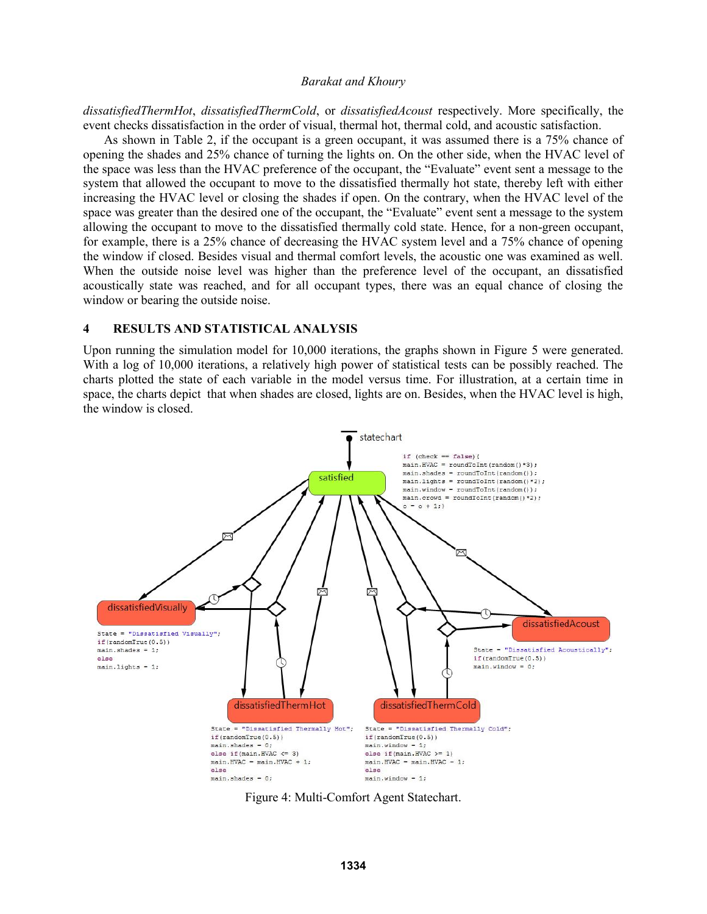*dissatisfiedThermHot*, *dissatisfiedThermCold*, or *dissatisfiedAcoust* respectively. More specifically, the event checks dissatisfaction in the order of visual, thermal hot, thermal cold, and acoustic satisfaction.

As shown in Table 2, if the occupant is a green occupant, it was assumed there is a 75% chance of opening the shades and 25% chance of turning the lights on. On the other side, when the HVAC level of the space was less than the HVAC preference of the occupant, the "Evaluate" event sent a message to the system that allowed the occupant to move to the dissatisfied thermally hot state, thereby left with either increasing the HVAC level or closing the shades if open. On the contrary, when the HVAC level of the space was greater than the desired one of the occupant, the "Evaluate" event sent a message to the system allowing the occupant to move to the dissatisfied thermally cold state. Hence, for a non-green occupant, for example, there is a 25% chance of decreasing the HVAC system level and a 75% chance of opening the window if closed. Besides visual and thermal comfort levels, the acoustic one was examined as well. When the outside noise level was higher than the preference level of the occupant, an dissatisfied acoustically state was reached, and for all occupant types, there was an equal chance of closing the window or bearing the outside noise.

#### **4 RESULTS AND STATISTICAL ANALYSIS**

Upon running the simulation model for 10,000 iterations, the graphs shown in Figure 5 were generated. With a log of 10,000 iterations, a relatively high power of statistical tests can be possibly reached. The charts plotted the state of each variable in the model versus time. For illustration, at a certain time in space, the charts depict that when shades are closed, lights are on. Besides, when the HVAC level is high, the window is closed.



Figure 4: Multi-Comfort Agent Statechart.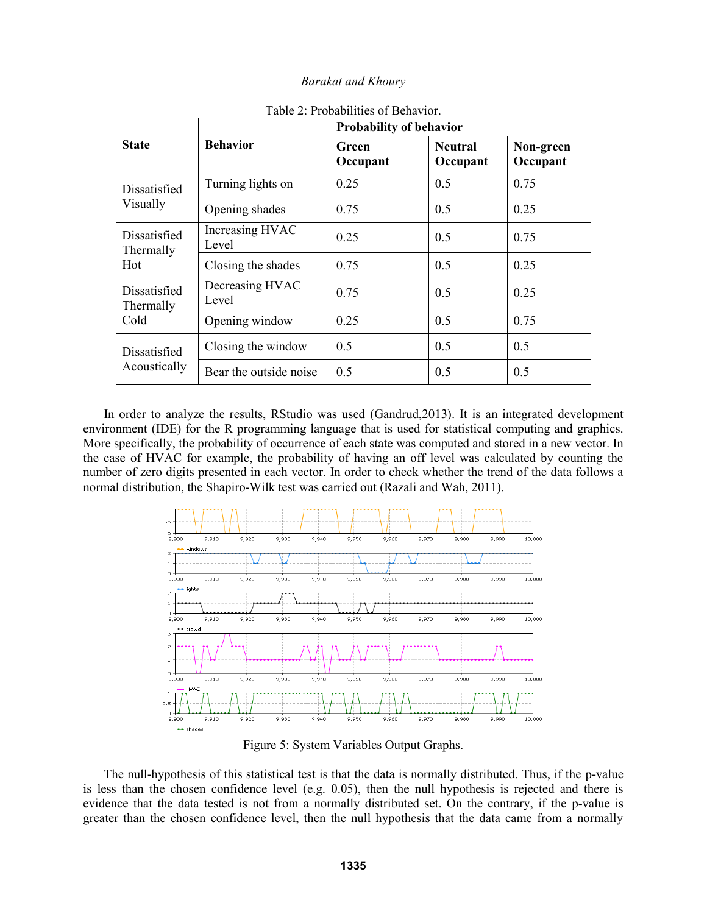|                                 |                          | <b>Probability of behavior</b> |                            |                       |  |  |
|---------------------------------|--------------------------|--------------------------------|----------------------------|-----------------------|--|--|
| <b>Behavior</b><br><b>State</b> |                          | Green<br>Occupant              | <b>Neutral</b><br>Occupant | Non-green<br>Occupant |  |  |
| Dissatisfied                    | Turning lights on        | 0.25                           | 0.5                        | 0.75                  |  |  |
| Visually                        | Opening shades           | 0.75<br>0.5                    |                            | 0.25                  |  |  |
| Dissatisfied<br>Thermally       | Increasing HVAC<br>Level | 0.25                           | 0.5                        | 0.75                  |  |  |
| Hot                             | Closing the shades       | 0.75                           | 0.5                        | 0.25                  |  |  |
| Dissatisfied<br>Thermally       | Decreasing HVAC<br>Level | 0.75                           | 0.5                        | 0.25                  |  |  |
| Cold                            | Opening window           | 0.25                           | 0.5                        | 0.75                  |  |  |
| Dissatisfied                    | Closing the window       | 0.5                            | 0.5                        | 0.5                   |  |  |
| Acoustically                    | Bear the outside noise   | 0.5                            | 0.5                        | 0.5                   |  |  |

|  | Table 2: Probabilities of Behavior. |  |
|--|-------------------------------------|--|
|--|-------------------------------------|--|

In order to analyze the results, RStudio was used (Gandrud,2013). It is an integrated development environment (IDE) for the R programming language that is used for statistical computing and graphics. More specifically, the probability of occurrence of each state was computed and stored in a new vector. In the case of HVAC for example, the probability of having an off level was calculated by counting the number of zero digits presented in each vector. In order to check whether the trend of the data follows a normal distribution, the Shapiro-Wilk test was carried out (Razali and Wah, 2011).



Figure 5: System Variables Output Graphs.

The null-hypothesis of this statistical test is that the data is normally distributed. Thus, if the p-value is less than the chosen confidence level (e.g. 0.05), then the null hypothesis is rejected and there is evidence that the data tested is not from a normally distributed set. On the contrary, if the p-value is greater than the chosen confidence level, then the null hypothesis that the data came from a normally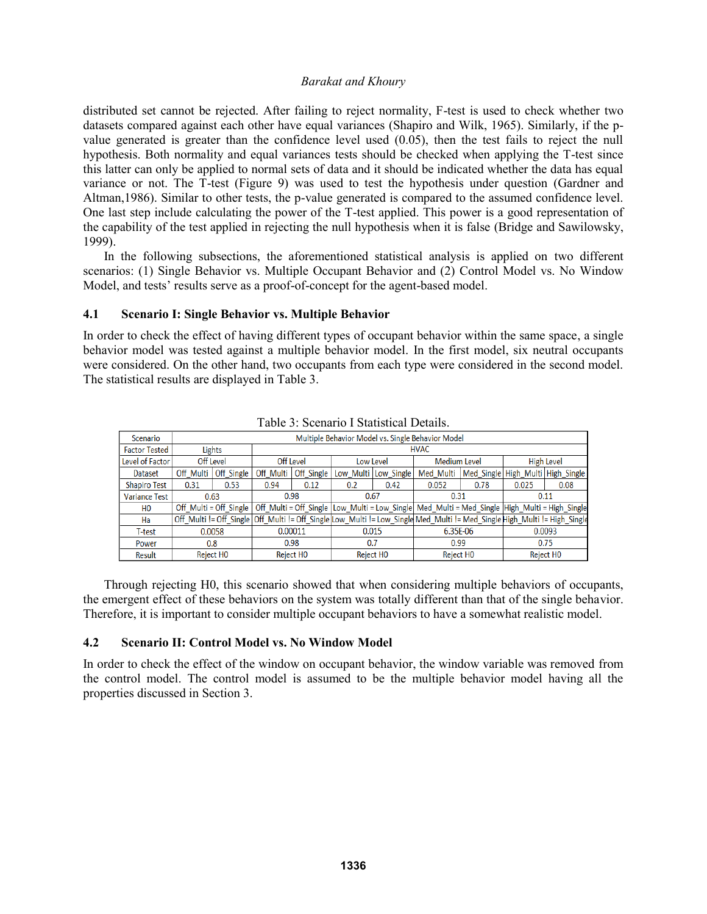distributed set cannot be rejected. After failing to reject normality, F-test is used to check whether two datasets compared against each other have equal variances (Shapiro and Wilk, 1965). Similarly, if the pvalue generated is greater than the confidence level used (0.05), then the test fails to reject the null hypothesis. Both normality and equal variances tests should be checked when applying the T-test since this latter can only be applied to normal sets of data and it should be indicated whether the data has equal variance or not. The T-test (Figure 9) was used to test the hypothesis under question (Gardner and Altman,1986). Similar to other tests, the p-value generated is compared to the assumed confidence level. One last step include calculating the power of the T-test applied. This power is a good representation of the capability of the test applied in rejecting the null hypothesis when it is false (Bridge and Sawilowsky, 1999).

In the following subsections, the aforementioned statistical analysis is applied on two different scenarios: (1) Single Behavior vs. Multiple Occupant Behavior and (2) Control Model vs. No Window Model, and tests' results serve as a proof-of-concept for the agent-based model.

## **4.1 Scenario I: Single Behavior vs. Multiple Behavior**

In order to check the effect of having different types of occupant behavior within the same space, a single behavior model was tested against a multiple behavior model. In the first model, six neutral occupants were considered. On the other hand, two occupants from each type were considered in the second model. The statistical results are displayed in Table 3.

|                      |           |                        |                                                   | Tuble 9. Section 1 Statistical Details. |     |                      |                                                                                                                           |                                   |       |                  |
|----------------------|-----------|------------------------|---------------------------------------------------|-----------------------------------------|-----|----------------------|---------------------------------------------------------------------------------------------------------------------------|-----------------------------------|-------|------------------|
| Scenario             |           |                        | Multiple Behavior Model vs. Single Behavior Model |                                         |     |                      |                                                                                                                           |                                   |       |                  |
| <b>Factor Tested</b> |           | Lights                 | <b>HVAC</b>                                       |                                         |     |                      |                                                                                                                           |                                   |       |                  |
| Level of Factor      |           | <b>Off Level</b>       | <b>Off Level</b><br>Medium Level<br>Low Level     |                                         |     |                      | <b>High Level</b>                                                                                                         |                                   |       |                  |
| Dataset              | Off Multi | Off Single             |                                                   | Off Multi   Off Single                  |     | Low Multi Low Single | Med Multi                                                                                                                 | Med Single High Multi High Single |       |                  |
| <b>Shapiro Test</b>  | 0.31      | 0.53                   | 0.94                                              | 0.12                                    | 0.2 | 0.42                 | 0.052                                                                                                                     | 0.78                              | 0.025 | 0.08             |
| <b>Variance Test</b> |           | 0.63                   |                                                   | 0.98                                    |     | 0.67                 | 0.31<br>0.11                                                                                                              |                                   |       |                  |
| HO.                  |           | Off Multi = Off Single |                                                   |                                         |     |                      | Off Multi = Off Single Low Multi = Low Single Med Multi = Med Single High Multi = High Single                             |                                   |       |                  |
| Ha                   |           |                        |                                                   |                                         |     |                      | Off Multi != Off Single Off Multi != Off Single Low Multi != Low Single Med Multi != Med Single High Multi != High Single |                                   |       |                  |
| T-test               |           | 0.0058                 |                                                   | 0.00011                                 |     | 0.015                | 6.35E-06                                                                                                                  |                                   |       | 0.0093           |
| Power                |           | 0.8                    |                                                   | 0.98                                    |     | 0.7                  | 0.99                                                                                                                      |                                   |       | 0.75             |
| Result               |           | <b>Reject HO</b>       |                                                   | <b>Reject HO</b>                        |     | <b>Reject HO</b>     | <b>Reject HO</b>                                                                                                          |                                   |       | <b>Reject HO</b> |

Table 3: Scenario I Statistical Details.

Through rejecting H0, this scenario showed that when considering multiple behaviors of occupants, the emergent effect of these behaviors on the system was totally different than that of the single behavior. Therefore, it is important to consider multiple occupant behaviors to have a somewhat realistic model.

## **4.2 Scenario II: Control Model vs. No Window Model**

In order to check the effect of the window on occupant behavior, the window variable was removed from the control model. The control model is assumed to be the multiple behavior model having all the properties discussed in Section 3.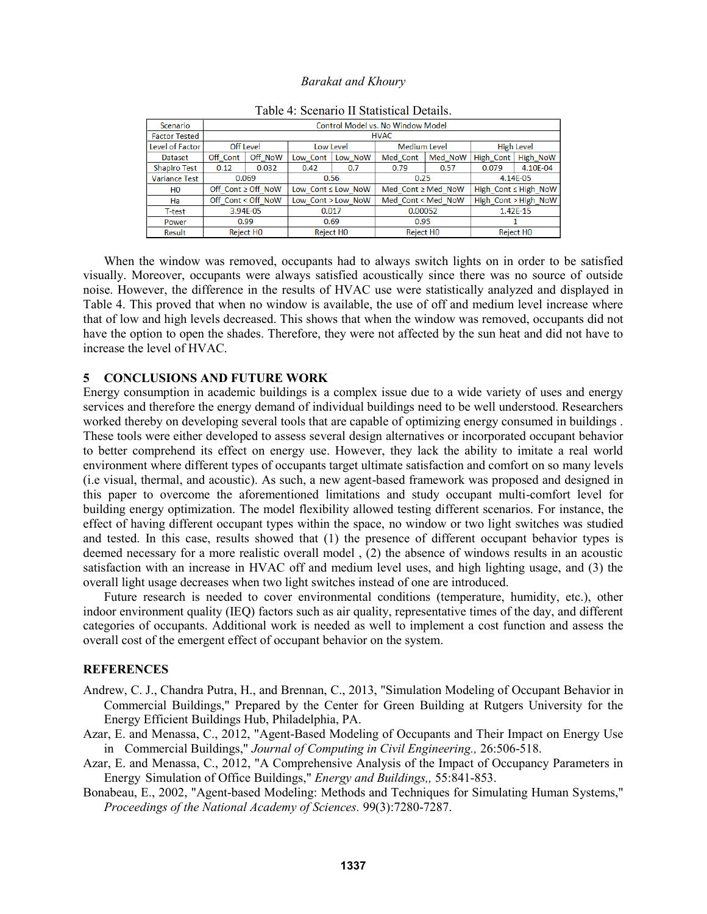| Scenario             | Control Model vs. No Window Model |                               |                  |                    |                     |                  |                      |                           |
|----------------------|-----------------------------------|-------------------------------|------------------|--------------------|---------------------|------------------|----------------------|---------------------------|
| <b>Factor Tested</b> | <b>HVAC</b>                       |                               |                  |                    |                     |                  |                      |                           |
| Level of Factor      |                                   | <b>Off Level</b><br>Low Level |                  |                    | <b>Medium Level</b> |                  | <b>High Level</b>    |                           |
| <b>Dataset</b>       | Off Cont                          | Off NoW                       | Low Cont         | Low NoW            | Med NoW<br>Med Cont |                  | High Cont            | High NoW                  |
| <b>Shapiro Test</b>  | 0.12                              | 0.032                         | 0.42             | 0.7                | 0.79                | 0.57             | 0.079                | 4.10E-04                  |
| <b>Variance Test</b> |                                   | 0.069                         |                  | 0.56               |                     | 4.14E-05<br>0.25 |                      |                           |
| H <sub>0</sub>       |                                   | Off Cont $\geq$ Off NoW       |                  | Low Cont ≤ Low NoW | Med Cont ≥ Med NoW  |                  |                      | High Cont $\leq$ High NoW |
| Ha                   |                                   | Off Cont < Off NoW            |                  | Low Cont > Low NoW | Med Cont < Med NoW  |                  | High Cont > High NoW |                           |
| T-test               |                                   | 3.94E-05                      | 0.00052<br>0.017 |                    |                     |                  |                      | 1.42E-15                  |
| Power                |                                   | 0.99                          |                  | 0.69               | 0.95                |                  |                      |                           |
| Result               |                                   | <b>Reject HO</b>              |                  | <b>Reject HO</b>   | <b>Reject HO</b>    |                  | Reject HO            |                           |

| Table 4: Scenario II Statistical Details. |
|-------------------------------------------|
|-------------------------------------------|

When the window was removed, occupants had to always switch lights on in order to be satisfied visually. Moreover, occupants were always satisfied acoustically since there was no source of outside noise. However, the difference in the results of HVAC use were statistically analyzed and displayed in Table 4. This proved that when no window is available, the use of off and medium level increase where that of low and high levels decreased. This shows that when the window was removed, occupants did not have the option to open the shades. Therefore, they were not affected by the sun heat and did not have to increase the level of HVAC.

## **5 CONCLUSIONS AND FUTURE WORK**

Energy consumption in academic buildings is a complex issue due to a wide variety of uses and energy services and therefore the energy demand of individual buildings need to be well understood. Researchers worked thereby on developing several tools that are capable of optimizing energy consumed in buildings . These tools were either developed to assess several design alternatives or incorporated occupant behavior to better comprehend its effect on energy use. However, they lack the ability to imitate a real world environment where different types of occupants target ultimate satisfaction and comfort on so many levels (i.e visual, thermal, and acoustic). As such, a new agent-based framework was proposed and designed in this paper to overcome the aforementioned limitations and study occupant multi-comfort level for building energy optimization. The model flexibility allowed testing different scenarios. For instance, the effect of having different occupant types within the space, no window or two light switches was studied and tested. In this case, results showed that (1) the presence of different occupant behavior types is deemed necessary for a more realistic overall model , (2) the absence of windows results in an acoustic satisfaction with an increase in HVAC off and medium level uses, and high lighting usage, and (3) the overall light usage decreases when two light switches instead of one are introduced.

Future research is needed to cover environmental conditions (temperature, humidity, etc.), other indoor environment quality (IEQ) factors such as air quality, representative times of the day, and different categories of occupants. Additional work is needed as well to implement a cost function and assess the overall cost of the emergent effect of occupant behavior on the system.

## **REFERENCES**

- Andrew, C. J., Chandra Putra, H., and Brennan, C., 2013, "Simulation Modeling of Occupant Behavior in Commercial Buildings," Prepared by the Center for Green Building at Rutgers University for the Energy Efficient Buildings Hub, Philadelphia, PA.
- Azar, E. and Menassa, C., 2012, "Agent-Based Modeling of Occupants and Their Impact on Energy Use in Commercial Buildings," *Journal of Computing in Civil Engineering.,* 26:506-518.
- Azar, E. and Menassa, C., 2012, "A Comprehensive Analysis of the Impact of Occupancy Parameters in Energy Simulation of Office Buildings," *Energy and Buildings,,* 55:841-853.
- Bonabeau, E., 2002, "Agent-based Modeling: Methods and Techniques for Simulating Human Systems," *Proceedings of the National Academy of Sciences.* 99(3):7280-7287.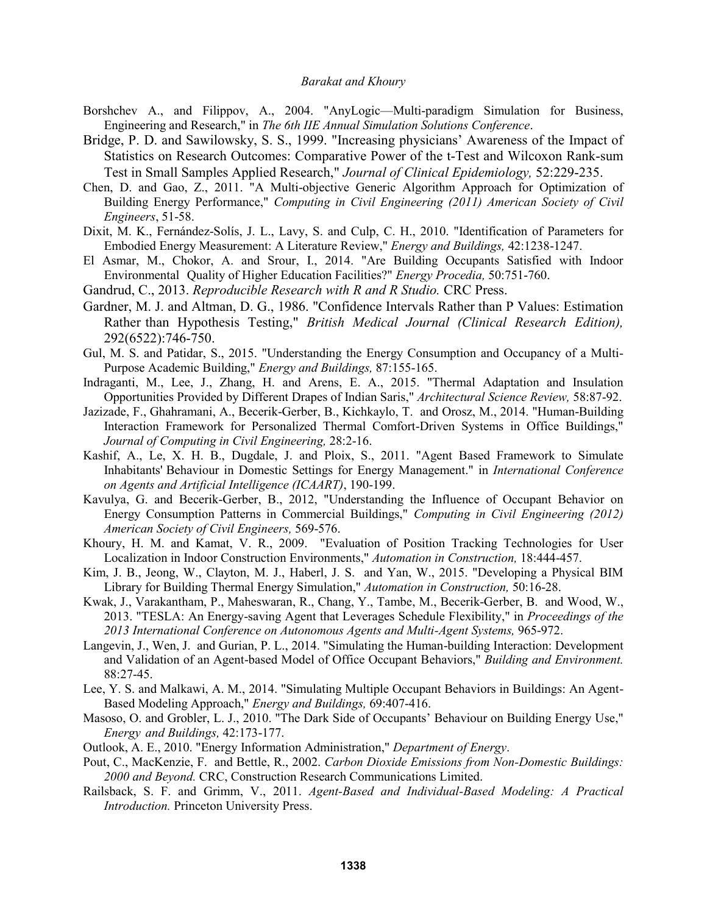- Borshchev A., and Filippov, A., 2004. "AnyLogic—Multi-paradigm Simulation for Business, Engineering and Research," in *The 6th IIE Annual Simulation Solutions Conference*.
- Bridge, P. D. and Sawilowsky, S. S., 1999. "Increasing physicians' Awareness of the Impact of Statistics on Research Outcomes: Comparative Power of the t-Test and Wilcoxon Rank-sum Test in Small Samples Applied Research," *Journal of Clinical Epidemiology,* 52:229-235.
- Chen, D. and Gao, Z., 2011. "A Multi-objective Generic Algorithm Approach for Optimization of Building Energy Performance," *Computing in Civil Engineering (2011) American Society of Civil Engineers*, 51-58.
- Dixit, M. K., Fernández-Solís, J. L., Lavy, S. and Culp, C. H., 2010. "Identification of Parameters for Embodied Energy Measurement: A Literature Review," *Energy and Buildings,* 42:1238-1247.
- El Asmar, M., Chokor, A. and Srour, I., 2014. "Are Building Occupants Satisfied with Indoor Environmental Quality of Higher Education Facilities?" *Energy Procedia,* 50:751-760.
- Gandrud, C., 2013. *Reproducible Research with R and R Studio.* CRC Press.
- Gardner, M. J. and Altman, D. G., 1986. "Confidence Intervals Rather than P Values: Estimation Rather than Hypothesis Testing," *British Medical Journal (Clinical Research Edition),* 292(6522):746-750.
- Gul, M. S. and Patidar, S., 2015. "Understanding the Energy Consumption and Occupancy of a Multi-Purpose Academic Building," *Energy and Buildings,* 87:155-165.
- Indraganti, M., Lee, J., Zhang, H. and Arens, E. A., 2015. "Thermal Adaptation and Insulation Opportunities Provided by Different Drapes of Indian Saris," *Architectural Science Review,* 58:87-92.
- Jazizade, F., Ghahramani, A., Becerik-Gerber, B., Kichkaylo, T. and Orosz, M., 2014. "Human-Building Interaction Framework for Personalized Thermal Comfort-Driven Systems in Office Buildings," *Journal of Computing in Civil Engineering,* 28:2-16.
- Kashif, A., Le, X. H. B., Dugdale, J. and Ploix, S., 2011. "Agent Based Framework to Simulate Inhabitants' Behaviour in Domestic Settings for Energy Management." in *International Conference on Agents and Artificial Intelligence (ICAART)*, 190-199.
- Kavulya, G. and Becerik-Gerber, B., 2012, "Understanding the Influence of Occupant Behavior on Energy Consumption Patterns in Commercial Buildings," *Computing in Civil Engineering (2012) American Society of Civil Engineers,* 569-576.
- Khoury, H. M. and Kamat, V. R., 2009. "Evaluation of Position Tracking Technologies for User Localization in Indoor Construction Environments," *Automation in Construction,* 18:444-457.
- Kim, J. B., Jeong, W., Clayton, M. J., Haberl, J. S. and Yan, W., 2015. "Developing a Physical BIM Library for Building Thermal Energy Simulation," *Automation in Construction,* 50:16-28.
- Kwak, J., Varakantham, P., Maheswaran, R., Chang, Y., Tambe, M., Becerik-Gerber, B. and Wood, W., 2013. "TESLA: An Energy-saving Agent that Leverages Schedule Flexibility," in *Proceedings of the 2013 International Conference on Autonomous Agents and Multi-Agent Systems,* 965-972.
- Langevin, J., Wen, J. and Gurian, P. L., 2014. "Simulating the Human-building Interaction: Development and Validation of an Agent-based Model of Office Occupant Behaviors," *Building and Environment.*  88:27-45.
- Lee, Y. S. and Malkawi, A. M., 2014. "Simulating Multiple Occupant Behaviors in Buildings: An Agent-Based Modeling Approach," *Energy and Buildings,* 69:407-416.
- Masoso, O. and Grobler, L. J., 2010. "The Dark Side of Occupants' Behaviour on Building Energy Use," *Energy and Buildings,* 42:173-177.
- Outlook, A. E., 2010. "Energy Information Administration," *Department of Energy*.
- Pout, C., MacKenzie, F. and Bettle, R., 2002. *Carbon Dioxide Emissions from Non-Domestic Buildings: 2000 and Beyond.* CRC, Construction Research Communications Limited.
- Railsback, S. F. and Grimm, V., 2011. *Agent-Based and Individual-Based Modeling: A Practical Introduction.* Princeton University Press.